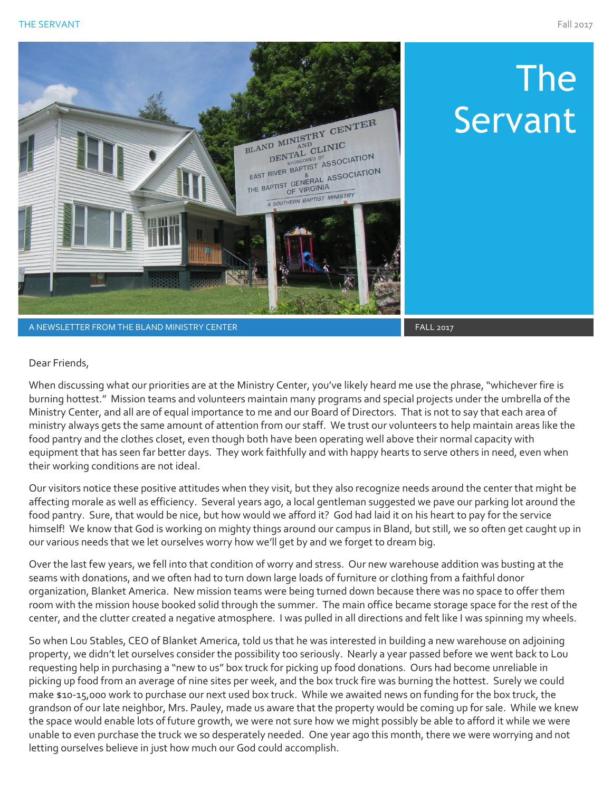The

Servant



A NEWSLETTER FROM THE BLAND MINISTRY CENTER FALL 2017 FALL 2017

## Dear Friends,

When discussing what our priorities are at the Ministry Center, you've likely heard me use the phrase, "whichever fire is burning hottest." Mission teams and volunteers maintain many programs and special projects under the umbrella of the Ministry Center, and all are of equal importance to me and our Board of Directors. That is not to say that each area of ministry always gets the same amount of attention from our staff. We trust our volunteers to help maintain areas like the food pantry and the clothes closet, even though both have been operating well above their normal capacity with equipment that has seen far better days. They work faithfully and with happy hearts to serve others in need, even when their working conditions are not ideal.

Our visitors notice these positive attitudes when they visit, but they also recognize needs around the center that might be affecting morale as well as efficiency. Several years ago, a local gentleman suggested we pave our parking lot around the food pantry. Sure, that would be nice, but how would we afford it? God had laid it on his heart to pay for the service himself! We know that God is working on mighty things around our campus in Bland, but still, we so often get caught up in our various needs that we let ourselves worry how we'll get by and we forget to dream big.

Over the last few years, we fell into that condition of worry and stress. Our new warehouse addition was busting at the seams with donations, and we often had to turn down large loads of furniture or clothing from a faithful donor organization, Blanket America. New mission teams were being turned down because there was no space to offer them room with the mission house booked solid through the summer. The main office became storage space for the rest of the center, and the clutter created a negative atmosphere. I was pulled in all directions and felt like I was spinning my wheels.

So when Lou Stables, CEO of Blanket America, told us that he was interested in building a new warehouse on adjoining property, we didn't let ourselves consider the possibility too seriously. Nearly a year passed before we went back to Lou requesting help in purchasing a "new to us" box truck for picking up food donations. Ours had become unreliable in picking up food from an average of nine sites per week, and the box truck fire was burning the hottest. Surely we could make \$10-15,000 work to purchase our next used box truck. While we awaited news on funding for the box truck, the grandson of our late neighbor, Mrs. Pauley, made us aware that the property would be coming up for sale. While we knew the space would enable lots of future growth, we were not sure how we might possibly be able to afford it while we were unable to even purchase the truck we so desperately needed. One year ago this month, there we were worrying and not letting ourselves believe in just how much our God could accomplish.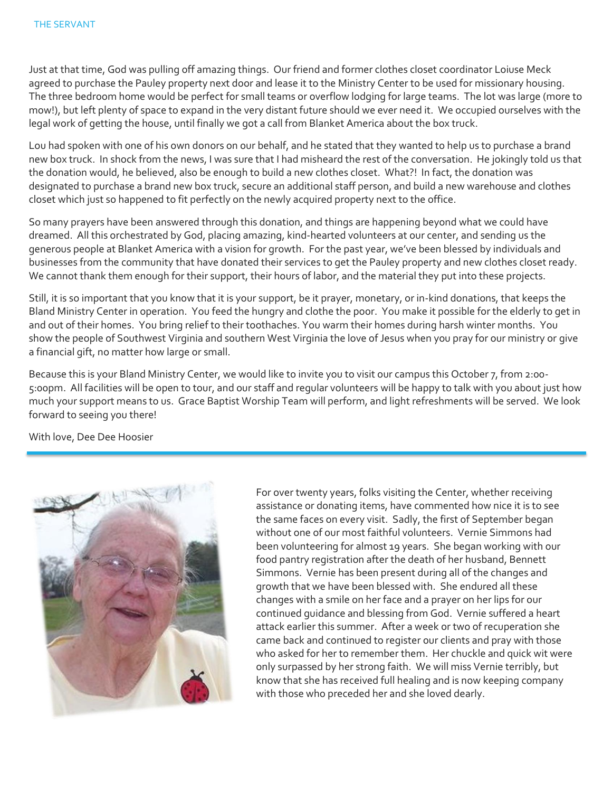Just at that time, God was pulling off amazing things. Our friend and former clothes closet coordinator Loiuse Meck agreed to purchase the Pauley property next door and lease it to the Ministry Center to be used for missionary housing. The three bedroom home would be perfect for small teams or overflow lodging for large teams. The lot was large (more to mow!), but left plenty of space to expand in the very distant future should we ever need it. We occupied ourselves with the legal work of getting the house, until finally we got a call from Blanket America about the box truck.

Lou had spoken with one of his own donors on our behalf, and he stated that they wanted to help us to purchase a brand new box truck. In shock from the news, I was sure that I had misheard the rest of the conversation. He jokingly told us that the donation would, he believed, also be enough to build a new clothes closet. What?! In fact, the donation was designated to purchase a brand new box truck, secure an additional staff person, and build a new warehouse and clothes closet which just so happened to fit perfectly on the newly acquired property next to the office.

So many prayers have been answered through this donation, and things are happening beyond what we could have dreamed. All this orchestrated by God, placing amazing, kind-hearted volunteers at our center, and sending us the generous people at Blanket America with a vision for growth. For the past year, we've been blessed by individuals and businesses from the community that have donated their services to get the Pauley property and new clothes closet ready. We cannot thank them enough for their support, their hours of labor, and the material they put into these projects.

Still, it is so important that you know that it is your support, be it prayer, monetary, or in-kind donations, that keeps the Bland Ministry Center in operation. You feed the hungry and clothe the poor. You make it possible for the elderly to get in and out of their homes. You bring relief to their toothaches. You warm their homes during harsh winter months. You show the people of Southwest Virginia and southern West Virginia the love of Jesus when you pray for our ministry or give a financial gift, no matter how large or small.

Because this is your Bland Ministry Center, we would like to invite you to visit our campus this October 7, from 2:00- 5:00pm. All facilities will be open to tour, and our staff and regular volunteers will be happy to talk with you about just how much your support means to us. Grace Baptist Worship Team will perform, and light refreshments will be served. We look forward to seeing you there!

With love, Dee Dee Hoosier



For over twenty years, folks visiting the Center, whether receiving assistance or donating items, have commented how nice it is to see the same faces on every visit. Sadly, the first of September began without one of our most faithful volunteers. Vernie Simmons had been volunteering for almost 19 years. She began working with our food pantry registration after the death of her husband, Bennett Simmons. Vernie has been present during all of the changes and growth that we have been blessed with. She endured all these changes with a smile on her face and a prayer on her lips for our continued guidance and blessing from God. Vernie suffered a heart attack earlier this summer. After a week or two of recuperation she came back and continued to register our clients and pray with those who asked for her to remember them. Her chuckle and quick wit were only surpassed by her strong faith. We will miss Vernie terribly, but know that she has received full healing and is now keeping company with those who preceded her and she loved dearly.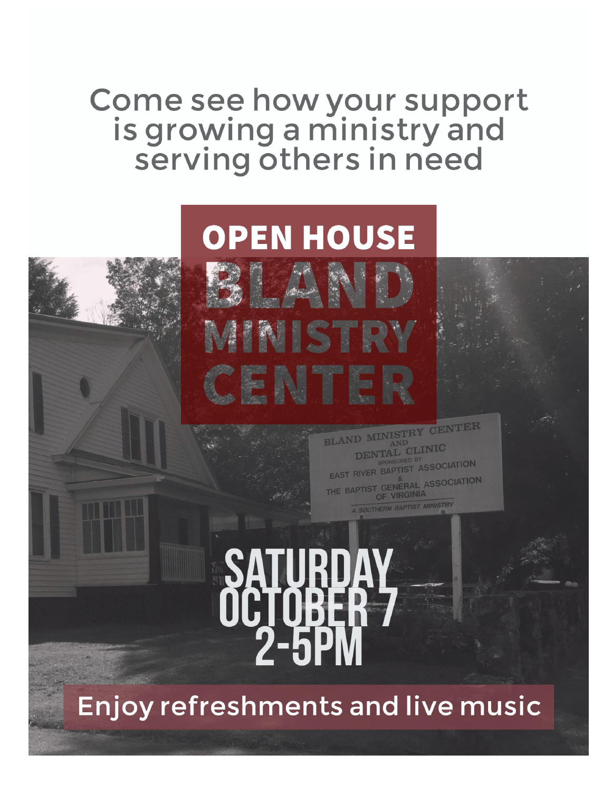## Come see how your support<br>is growing a ministry and<br>serving others in need

## **OPEN HOUSE**

CENTER **BLAND MINISTRY** DENTAL CLINIC EAST RIVER BAPTIST ASSOCIATION THE BAPTIST GENERAL ASSOCIATION OF VIRGINIA **SOUTHERN BAPTIST MINISTRY** 

Enjoy refreshments and live music